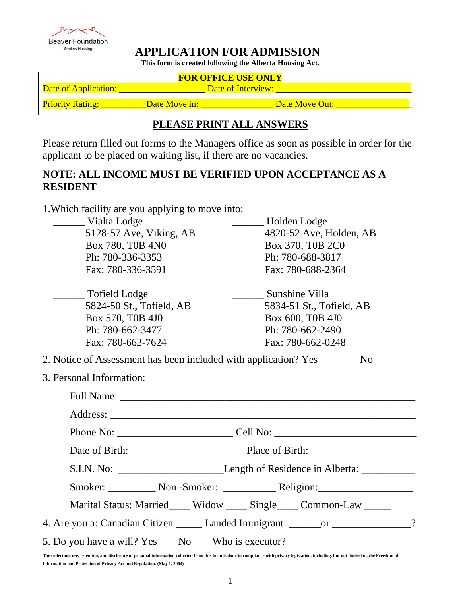**Beaver Foundation** Seniors Housing

# **APPLICATION FOR ADMISSION**

**This form is created following the Alberta Housing Act.**

| <b>FOR OFFICE USE ONLY</b>                                                                                                                                       |                                                                                                      |  |  |  |  |  |
|------------------------------------------------------------------------------------------------------------------------------------------------------------------|------------------------------------------------------------------------------------------------------|--|--|--|--|--|
|                                                                                                                                                                  |                                                                                                      |  |  |  |  |  |
|                                                                                                                                                                  | Priority Rating: ___________Date Move in: _________________________Date Move Out: __________________ |  |  |  |  |  |
|                                                                                                                                                                  | PLEASE PRINT ALL ANSWERS                                                                             |  |  |  |  |  |
| Please return filled out forms to the Managers office as soon as possible in order for the<br>applicant to be placed on waiting list, if there are no vacancies. |                                                                                                      |  |  |  |  |  |
| NOTE: ALL INCOME MUST BE VERIFIED UPON ACCEPTANCE AS A<br><b>RESIDENT</b>                                                                                        |                                                                                                      |  |  |  |  |  |
| 1. Which facility are you applying to move into:<br>Holden Lodge<br>Vialta Lodge                                                                                 |                                                                                                      |  |  |  |  |  |
| 5128-57 Ave, Viking, AB<br>4820-52 Ave, Holden, AB<br>$\sim$ $\sim$ $\sim$ $\sim$ $\sim$ $\sim$ $\sim$<br>$\sim$ $\sim$ $\sim$ $\sim$ $\sim$ $\sim$              |                                                                                                      |  |  |  |  |  |

| Vialta Lodge                                                                                        | Holden Lodge                                                                        |  |  |
|-----------------------------------------------------------------------------------------------------|-------------------------------------------------------------------------------------|--|--|
| 5128-57 Ave, Viking, AB                                                                             | 4820-52 Ave, Holden, AB                                                             |  |  |
| Box 780, T0B 4N0                                                                                    | Box 370, T0B 2C0                                                                    |  |  |
| Ph: 780-336-3353                                                                                    | Ph: 780-688-3817                                                                    |  |  |
| Fax: 780-336-3591                                                                                   | Fax: 780-688-2364                                                                   |  |  |
| Tofield Lodge                                                                                       | Sunshine Villa                                                                      |  |  |
| 5824-50 St., Tofield, AB                                                                            | 5834-51 St., Tofield, AB                                                            |  |  |
| Box 570, T0B 4J0                                                                                    | Box 600, T0B 4J0                                                                    |  |  |
| Ph: 780-662-3477                                                                                    | Ph: 780-662-2490                                                                    |  |  |
| Fax: 780-662-7624                                                                                   | Fax: 780-662-0248                                                                   |  |  |
| 2. Notice of Assessment has been included with application? Yes _______<br>3. Personal Information: |                                                                                     |  |  |
|                                                                                                     |                                                                                     |  |  |
|                                                                                                     |                                                                                     |  |  |
|                                                                                                     |                                                                                     |  |  |
|                                                                                                     |                                                                                     |  |  |
|                                                                                                     | S.I.N. No: Length of Residence in Alberta:                                          |  |  |
|                                                                                                     |                                                                                     |  |  |
|                                                                                                     | Marital Status: Married____ Widow ____ Single____ Common-Law _____                  |  |  |
|                                                                                                     | 4. Are you a: Canadian Citizen _______ Landed Immigrant: _______ or ______________? |  |  |
|                                                                                                     | 5. Do you have a will? Yes ___ No ___ Who is executor? _________________________    |  |  |

**The collection, use, retention, and disclosure of personal information collected from this form is done in compliance with privacy legislation, including, but not limited to, the Freedom of Information and Protection of Privacy Act and Regulation. (May 1, 2004)**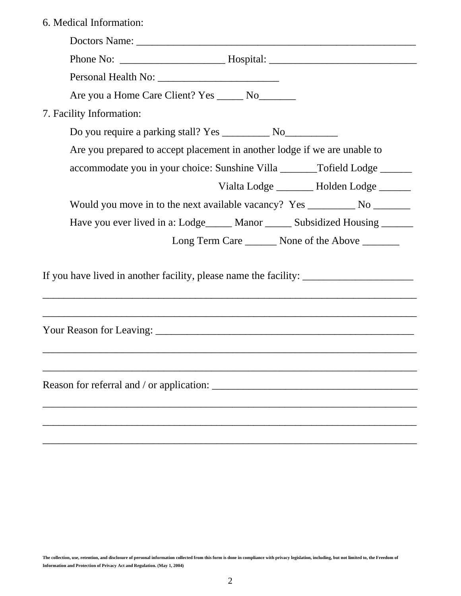|  | 6. Medical Information: |
|--|-------------------------|
|--|-------------------------|

| Are you a Home Care Client? Yes _______ No________                                |  |
|-----------------------------------------------------------------------------------|--|
| 7. Facility Information:                                                          |  |
|                                                                                   |  |
| Are you prepared to accept placement in another lodge if we are unable to         |  |
| accommodate you in your choice: Sunshine Villa _______Tofield Lodge ______        |  |
| Vialta Lodge _______ Holden Lodge ______                                          |  |
|                                                                                   |  |
| Have you ever lived in a: Lodge_____ Manor _____ Subsidized Housing _____         |  |
| Long Term Care _________ None of the Above ________                               |  |
| If you have lived in another facility, please name the facility: ________________ |  |
|                                                                                   |  |
|                                                                                   |  |
|                                                                                   |  |
|                                                                                   |  |
|                                                                                   |  |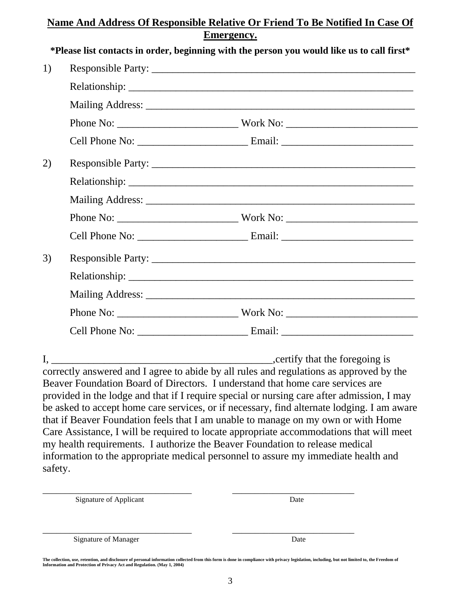## **Name And Address Of Responsible Relative Or Friend To Be Notified In Case Of Emergency.**

|    | *Please list contacts in order, beginning with the person you would like us to call first* |  |
|----|--------------------------------------------------------------------------------------------|--|
| 1) |                                                                                            |  |
|    |                                                                                            |  |
|    |                                                                                            |  |
|    |                                                                                            |  |
|    |                                                                                            |  |
| 2) |                                                                                            |  |
|    |                                                                                            |  |
|    |                                                                                            |  |
|    |                                                                                            |  |
|    |                                                                                            |  |
| 3) |                                                                                            |  |
|    |                                                                                            |  |
|    |                                                                                            |  |
|    |                                                                                            |  |
|    |                                                                                            |  |
|    |                                                                                            |  |

I, \_\_\_\_\_\_\_\_\_\_\_\_\_\_\_\_\_\_\_\_\_\_\_\_\_\_\_\_\_\_\_\_\_\_\_\_\_\_\_\_\_\_,certify that the foregoing is correctly answered and I agree to abide by all rules and regulations as approved by the Beaver Foundation Board of Directors. I understand that home care services are provided in the lodge and that if I require special or nursing care after admission, I may be asked to accept home care services, or if necessary, find alternate lodging. I am aware that if Beaver Foundation feels that I am unable to manage on my own or with Home Care Assistance, I will be required to locate appropriate accommodations that will meet my health requirements. I authorize the Beaver Foundation to release medical information to the appropriate medical personnel to assure my immediate health and safety.

| <b>Signature of Applicant</b> | Date |
|-------------------------------|------|
|                               |      |
| <b>Signature of Manager</b>   | Date |

**The collection, use, retention, and disclosure of personal information collected from this form is done in compliance with privacy legislation, including, but not limited to, the Freedom of Information and Protection of Privacy Act and Regulation. (May 1, 2004)**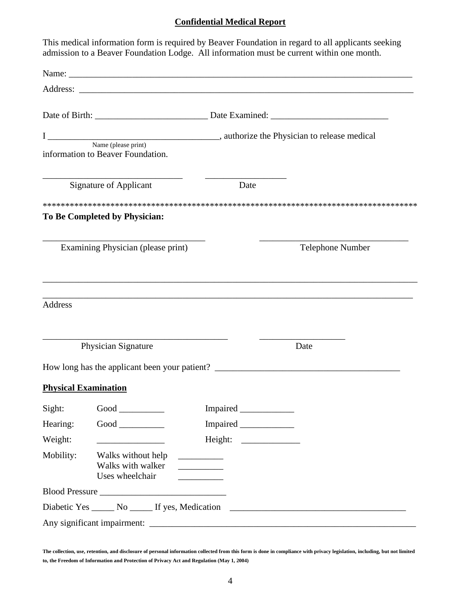### **Confidential Medical Report**

|                             |                                                            | This medical information form is required by Beaver Foundation in regard to all applicants seeking<br>admission to a Beaver Foundation Lodge. All information must be current within one month. |
|-----------------------------|------------------------------------------------------------|-------------------------------------------------------------------------------------------------------------------------------------------------------------------------------------------------|
|                             |                                                            |                                                                                                                                                                                                 |
|                             |                                                            |                                                                                                                                                                                                 |
|                             |                                                            |                                                                                                                                                                                                 |
|                             |                                                            | I Name (please print) Name (please print) 2.1 Name (please print)                                                                                                                               |
|                             | information to Beaver Foundation.                          |                                                                                                                                                                                                 |
|                             | <b>Signature of Applicant</b>                              | Date                                                                                                                                                                                            |
|                             | To Be Completed by Physician:                              |                                                                                                                                                                                                 |
|                             | Examining Physician (please print)                         | Telephone Number                                                                                                                                                                                |
| <b>Address</b>              |                                                            |                                                                                                                                                                                                 |
|                             | Physician Signature                                        | Date                                                                                                                                                                                            |
| <b>Physical Examination</b> | How long has the applicant been your patient?              |                                                                                                                                                                                                 |
| Sight:                      |                                                            |                                                                                                                                                                                                 |
| Hearing:                    |                                                            |                                                                                                                                                                                                 |
| Weight:                     | <u> 1990 - Johann Barn, mars ann an t-</u>                 |                                                                                                                                                                                                 |
| Mobility:                   | Walks without help<br>Walks with walker<br>Uses wheelchair |                                                                                                                                                                                                 |
|                             |                                                            |                                                                                                                                                                                                 |
|                             | Diabetic Yes ______ No ______ If yes, Medication           | <u> 2000 - Jacques Alexandria, prima de la capital de la capital de la capital de la capital de la capital de la</u>                                                                            |
|                             |                                                            |                                                                                                                                                                                                 |

**The collection, use, retention, and disclosure of personal information collected from this form is done in compliance with privacy legislation, including, but not limited to, the Freedom of Information and Protection of Privacy Act and Regulation (May 1, 2004)**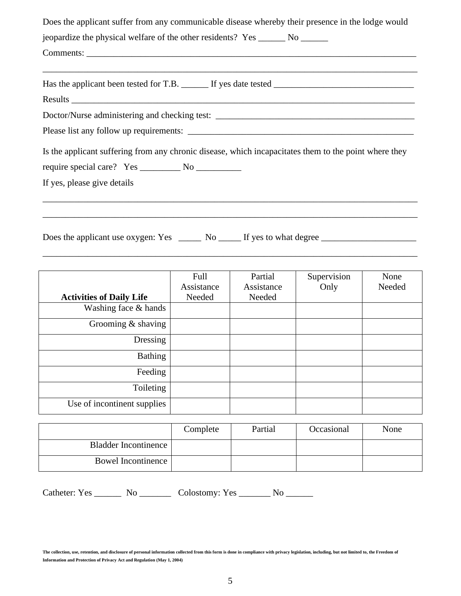| Does the applicant suffer from any communicable disease whereby their presence in the lodge would                                                                                                                              |
|--------------------------------------------------------------------------------------------------------------------------------------------------------------------------------------------------------------------------------|
| jeopardize the physical welfare of the other residents? Yes _______ No _______                                                                                                                                                 |
|                                                                                                                                                                                                                                |
|                                                                                                                                                                                                                                |
| Results experience and the contract of the contract of the contract of the contract of the contract of the contract of the contract of the contract of the contract of the contract of the contract of the contract of the con |
|                                                                                                                                                                                                                                |
|                                                                                                                                                                                                                                |
| Is the applicant suffering from any chronic disease, which incapacitates them to the point where they                                                                                                                          |
| If yes, please give details                                                                                                                                                                                                    |
|                                                                                                                                                                                                                                |
|                                                                                                                                                                                                                                |

|                                 | Full<br>Assistance | Partial<br>Assistance | Supervision<br>Only | None<br>Needed |
|---------------------------------|--------------------|-----------------------|---------------------|----------------|
| <b>Activities of Daily Life</b> | Needed             | Needed                |                     |                |
| Washing face & hands            |                    |                       |                     |                |
| Grooming $&$ shaving            |                    |                       |                     |                |
| Dressing                        |                    |                       |                     |                |
| <b>Bathing</b>                  |                    |                       |                     |                |
| Feeding                         |                    |                       |                     |                |
| Toileting                       |                    |                       |                     |                |
| Use of incontinent supplies     |                    |                       |                     |                |

\_\_\_\_\_\_\_\_\_\_\_\_\_\_\_\_\_\_\_\_\_\_\_\_\_\_\_\_\_\_\_\_\_\_\_\_\_\_\_\_\_\_\_\_\_\_\_\_\_\_\_\_\_\_\_\_\_\_\_\_\_\_\_\_\_\_\_\_\_\_\_\_\_\_\_\_\_\_\_\_\_\_\_

|                      | Complete | Partial | Occasional | None |
|----------------------|----------|---------|------------|------|
| Bladder Incontinence |          |         |            |      |
| Bowel Incontinence   |          |         |            |      |

Catheter: Yes \_\_\_\_\_\_\_ No \_\_\_\_\_\_\_\_ Colostomy: Yes \_\_\_\_\_\_\_ No \_\_\_\_\_\_

**The collection, use, retention, and disclosure of personal information collected from this form is done in compliance with privacy legislation, including, but not limited to, the Freedom of Information and Protection of Privacy Act and Regulation (May 1, 2004)**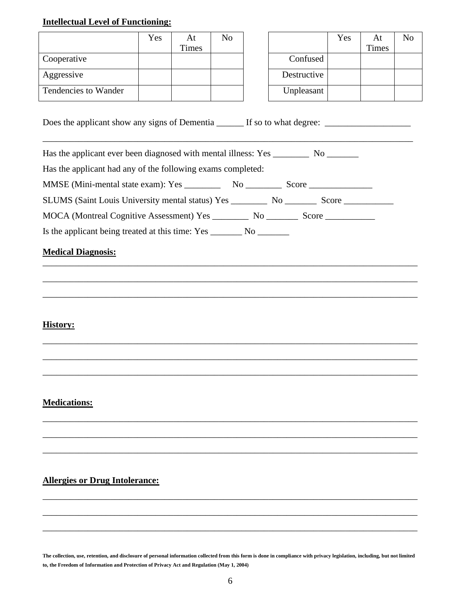## **Intellectual Level of Functioning:**

|                      | Yes | At           | No |             |
|----------------------|-----|--------------|----|-------------|
|                      |     | <b>Times</b> |    |             |
| Cooperative          |     |              |    | Confused    |
| Aggressive           |     |              |    | Destructive |
| Tendencies to Wander |     |              |    | Unpleasant  |

| No |             | Yes | At<br>Times | No |
|----|-------------|-----|-------------|----|
|    | Confused    |     |             |    |
|    | Destructive |     |             |    |
|    | Unpleasant  |     |             |    |

Does the applicant show any signs of Dementia \_\_\_\_\_\_ If so to what degree: \_\_\_\_\_\_\_\_\_\_\_\_\_\_\_\_\_\_\_

Has the applicant ever been diagnosed with mental illness: Yes No

Has the applicant had any of the following exams completed:

MMSE (Mini-mental state exam): Yes \_\_\_\_\_\_\_\_\_\_ No \_\_\_\_\_\_\_\_\_ Score \_\_\_\_\_\_\_\_\_\_\_\_\_\_\_

SLUMS (Saint Louis University mental status) Yes \_\_\_\_\_\_\_\_\_ No \_\_\_\_\_\_\_\_ Score \_\_\_\_\_\_\_\_\_\_

\_\_\_\_\_\_\_\_\_\_\_\_\_\_\_\_\_\_\_\_\_\_\_\_\_\_\_\_\_\_\_\_\_\_\_\_\_\_\_\_\_\_\_\_\_\_\_\_\_\_\_\_\_\_\_\_\_\_\_\_\_\_\_\_\_\_\_\_\_\_\_\_\_\_\_\_\_\_\_\_\_\_\_

\_\_\_\_\_\_\_\_\_\_\_\_\_\_\_\_\_\_\_\_\_\_\_\_\_\_\_\_\_\_\_\_\_\_\_\_\_\_\_\_\_\_\_\_\_\_\_\_\_\_\_\_\_\_\_\_\_\_\_\_\_\_\_\_\_\_\_\_\_\_\_\_\_\_\_\_\_\_\_\_\_\_\_

\_\_\_\_\_\_\_\_\_\_\_\_\_\_\_\_\_\_\_\_\_\_\_\_\_\_\_\_\_\_\_\_\_\_\_\_\_\_\_\_\_\_\_\_\_\_\_\_\_\_\_\_\_\_\_\_\_\_\_\_\_\_\_\_\_\_\_\_\_\_\_\_\_\_\_\_\_\_\_\_\_\_\_

\_\_\_\_\_\_\_\_\_\_\_\_\_\_\_\_\_\_\_\_\_\_\_\_\_\_\_\_\_\_\_\_\_\_\_\_\_\_\_\_\_\_\_\_\_\_\_\_\_\_\_\_\_\_\_\_\_\_\_\_\_\_\_\_\_\_\_\_\_\_\_\_\_\_\_\_\_\_\_\_\_\_\_

\_\_\_\_\_\_\_\_\_\_\_\_\_\_\_\_\_\_\_\_\_\_\_\_\_\_\_\_\_\_\_\_\_\_\_\_\_\_\_\_\_\_\_\_\_\_\_\_\_\_\_\_\_\_\_\_\_\_\_\_\_\_\_\_\_\_\_\_\_\_\_\_\_\_\_\_\_\_\_\_\_\_\_

\_\_\_\_\_\_\_\_\_\_\_\_\_\_\_\_\_\_\_\_\_\_\_\_\_\_\_\_\_\_\_\_\_\_\_\_\_\_\_\_\_\_\_\_\_\_\_\_\_\_\_\_\_\_\_\_\_\_\_\_\_\_\_\_\_\_\_\_\_\_\_\_\_\_\_\_\_\_\_\_\_\_\_

\_\_\_\_\_\_\_\_\_\_\_\_\_\_\_\_\_\_\_\_\_\_\_\_\_\_\_\_\_\_\_\_\_\_\_\_\_\_\_\_\_\_\_\_\_\_\_\_\_\_\_\_\_\_\_\_\_\_\_\_\_\_\_\_\_\_\_\_\_\_\_\_\_\_\_\_\_\_\_\_\_\_\_

\_\_\_\_\_\_\_\_\_\_\_\_\_\_\_\_\_\_\_\_\_\_\_\_\_\_\_\_\_\_\_\_\_\_\_\_\_\_\_\_\_\_\_\_\_\_\_\_\_\_\_\_\_\_\_\_\_\_\_\_\_\_\_\_\_\_\_\_\_\_\_\_\_\_\_\_\_\_\_\_\_\_\_

\_\_\_\_\_\_\_\_\_\_\_\_\_\_\_\_\_\_\_\_\_\_\_\_\_\_\_\_\_\_\_\_\_\_\_\_\_\_\_\_\_\_\_\_\_\_\_\_\_\_\_\_\_\_\_\_\_\_\_\_\_\_\_\_\_\_\_\_\_\_\_\_\_\_\_\_\_\_\_\_\_\_\_

\_\_\_\_\_\_\_\_\_\_\_\_\_\_\_\_\_\_\_\_\_\_\_\_\_\_\_\_\_\_\_\_\_\_\_\_\_\_\_\_\_\_\_\_\_\_\_\_\_\_\_\_\_\_\_\_\_\_\_\_\_\_\_\_\_\_\_\_\_\_\_\_\_\_\_\_\_\_\_\_\_\_\_

\_\_\_\_\_\_\_\_\_\_\_\_\_\_\_\_\_\_\_\_\_\_\_\_\_\_\_\_\_\_\_\_\_\_\_\_\_\_\_\_\_\_\_\_\_\_\_\_\_\_\_\_\_\_\_\_\_\_\_\_\_\_\_\_\_\_\_\_\_\_\_\_\_\_\_\_\_\_\_\_\_\_\_

\_\_\_\_\_\_\_\_\_\_\_\_\_\_\_\_\_\_\_\_\_\_\_\_\_\_\_\_\_\_\_\_\_\_\_\_\_\_\_\_\_\_\_\_\_\_\_\_\_\_\_\_\_\_\_\_\_\_\_\_\_\_\_\_\_\_\_\_\_\_\_\_\_\_\_\_\_\_\_\_\_\_

MOCA (Montreal Cognitive Assessment) Yes \_\_\_\_\_\_\_\_ No \_\_\_\_\_\_\_ Score \_\_\_\_\_\_\_\_\_\_\_

Is the applicant being treated at this time: Yes \_\_\_\_\_\_\_\_ No \_\_\_\_\_\_\_\_

#### **Medical Diagnosis:** \_\_\_\_\_\_\_\_\_\_\_\_\_\_\_\_\_\_\_\_\_\_\_\_\_\_\_\_\_\_\_\_\_\_\_\_\_\_\_\_\_\_\_\_\_\_\_\_\_\_\_\_\_\_\_\_\_\_\_\_\_\_\_\_\_\_\_\_\_\_\_\_\_\_\_\_\_\_\_\_\_\_\_

## **History:**

## **Medications:**

#### **Allergies or Drug Intolerance:**

**The collection, use, retention, and disclosure of personal information collected from this form is done in compliance with privacy legislation, including, but not limited to, the Freedom of Information and Protection of Privacy Act and Regulation (May 1, 2004)**